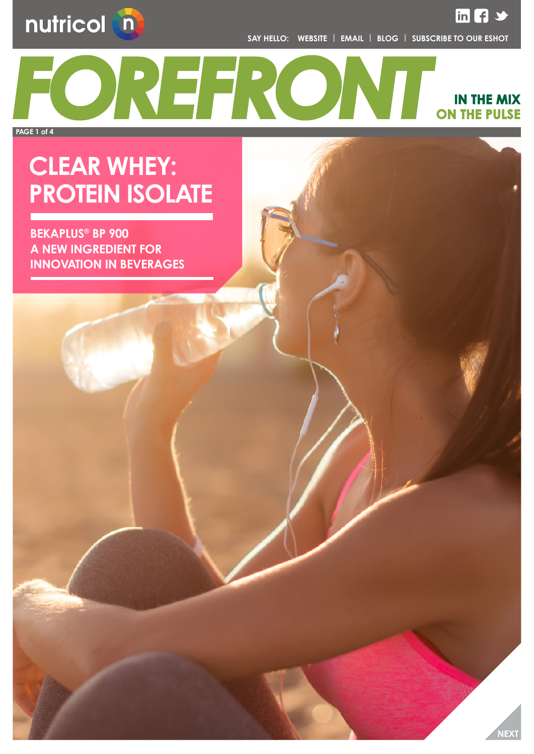

**SAY HELLO: [WEBSITE](http://www.nutricol.co.uk/) | [EMAIL](mailto:paul.andress%40nutricol.co.uk?subject=Please%20let%20me%20have%20more%20info%20on%20this) | [BLOG](http://www.nutricol.co.uk/blog/8/Understanding+white+gold/) | [SUBSCRIBE TO OUR ESHOT](http://www.nutricol.co.uk/e-shot)**

## **IN THE MIX ON THE PULSE**

 $\overline{\ln}$   $\overline{\mathbf{H}}$   $\rightarrow$ 

**PAGE 1 of 4**

# **CLEAR WHEY: PROTEIN ISOLATE**

DIREET.

 **BEKAPLUS® BP 900 A New Ingredient for Innovation in Beverages**

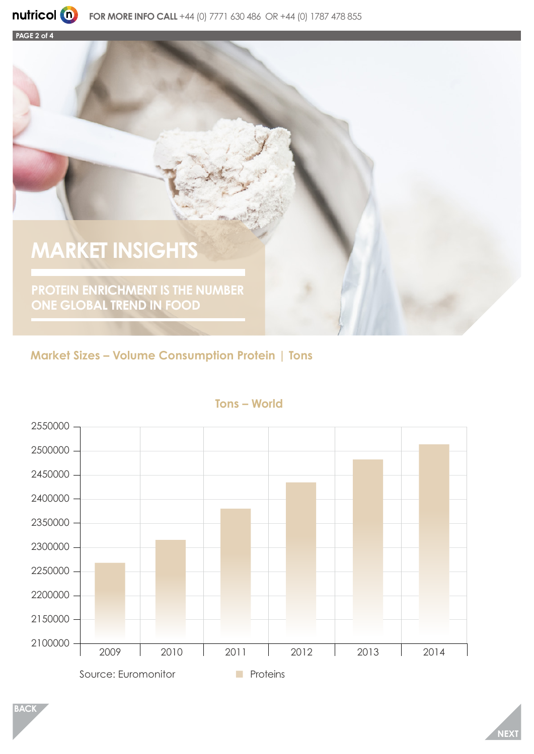

**PAGE 2 of 4**

# **Market insights**

**Protein enrichment is the number one global trend in food**

**Market Sizes – Volume Consumption Protein | Tons**



#### **Tons – World**

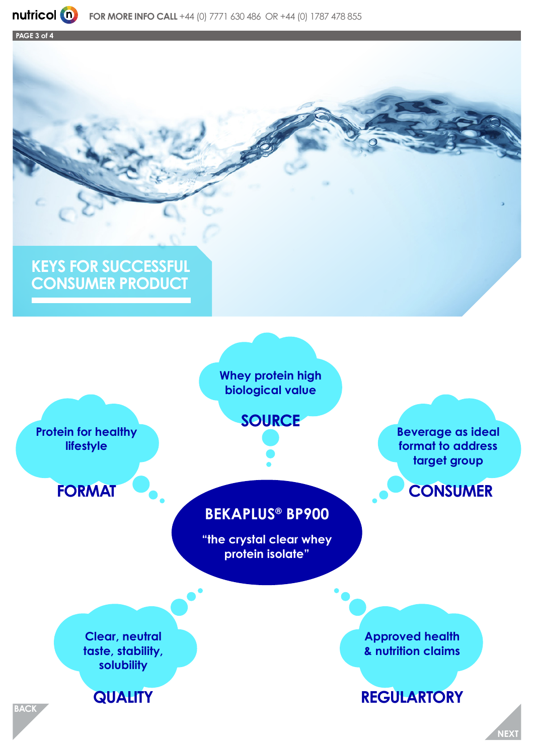

**PAGE 3 of 4**

#### **KEYS FOR SUCCESSFU CONSUMER PRODU**

**Whey protein high biological value**

**Protein for healthy lifestyle**

**FORMAT**

# **Source**

#### **BEKAPLUS® BP900**

**"the crystal clear whey protein isolate"**

**Beverage as ideal format to address target group**

### **CONSUMER**

**Clear, neutral taste, stability, solubility**

**quality**

**BACK**

**Approved health & nutrition claims**

## **regulartory**

**NEX**